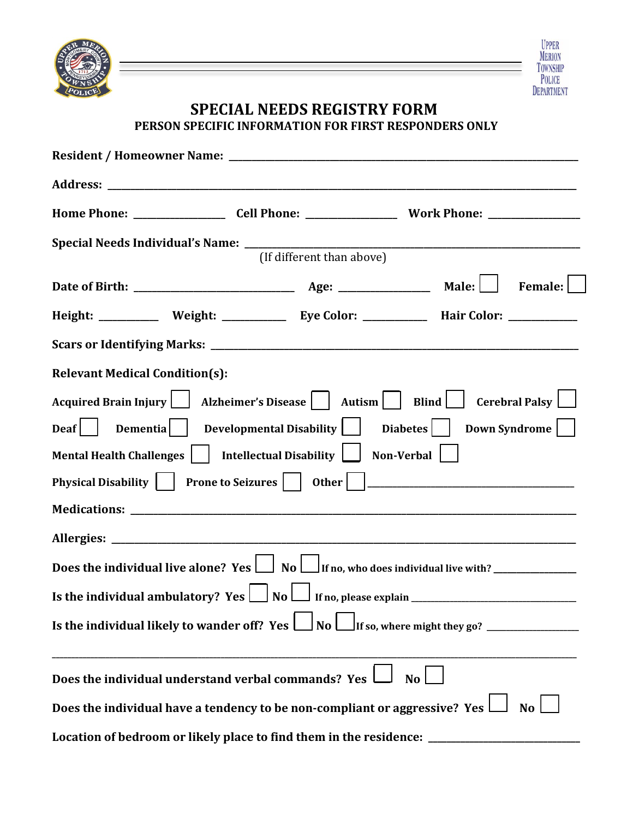



## **SPECIAL NEEDS REGISTRY FORM PERSON SPECIFIC INFORMATION FOR FIRST RESPONDERS ONLY**

|                                                                                                                                                                                                                                            |                                                       | (If different than above)                                          |                                                                                             |  |  |  |  |  |                                                                                            |
|--------------------------------------------------------------------------------------------------------------------------------------------------------------------------------------------------------------------------------------------|-------------------------------------------------------|--------------------------------------------------------------------|---------------------------------------------------------------------------------------------|--|--|--|--|--|--------------------------------------------------------------------------------------------|
|                                                                                                                                                                                                                                            |                                                       |                                                                    |                                                                                             |  |  |  |  |  |                                                                                            |
|                                                                                                                                                                                                                                            |                                                       |                                                                    | Height: ___________ Weight: ____________ Eye Color: ___________ Hair Color: ___________     |  |  |  |  |  |                                                                                            |
|                                                                                                                                                                                                                                            |                                                       |                                                                    |                                                                                             |  |  |  |  |  |                                                                                            |
| <b>Relevant Medical Condition(s):</b>                                                                                                                                                                                                      |                                                       |                                                                    |                                                                                             |  |  |  |  |  |                                                                                            |
| Acquired Brain Injury   Alzheimer's Disease     Autism     Blind   Cerebral Palsy  <br>Deaf   Dementia   Developmental Disability   Diabetes   Down Syndrome    <br>Mental Health Challenges     Intellectual Disability    <br>Non-Verbal |                                                       |                                                                    |                                                                                             |  |  |  |  |  |                                                                                            |
|                                                                                                                                                                                                                                            |                                                       |                                                                    |                                                                                             |  |  |  |  |  |                                                                                            |
|                                                                                                                                                                                                                                            |                                                       |                                                                    |                                                                                             |  |  |  |  |  |                                                                                            |
|                                                                                                                                                                                                                                            |                                                       |                                                                    |                                                                                             |  |  |  |  |  | Does the individual live alone? Yes $\Box$ No $\Box$ If no, who does individual live with? |
|                                                                                                                                                                                                                                            |                                                       |                                                                    |                                                                                             |  |  |  |  |  |                                                                                            |
|                                                                                                                                                                                                                                            |                                                       |                                                                    |                                                                                             |  |  |  |  |  |                                                                                            |
|                                                                                                                                                                                                                                            | Does the individual understand verbal commands? Yes l |                                                                    | N <sub>o</sub>                                                                              |  |  |  |  |  |                                                                                            |
|                                                                                                                                                                                                                                            |                                                       |                                                                    | Does the individual have a tendency to be non-compliant or aggressive? Yes $\Box$ No $\Box$ |  |  |  |  |  |                                                                                            |
|                                                                                                                                                                                                                                            |                                                       | Location of bedroom or likely place to find them in the residence: |                                                                                             |  |  |  |  |  |                                                                                            |